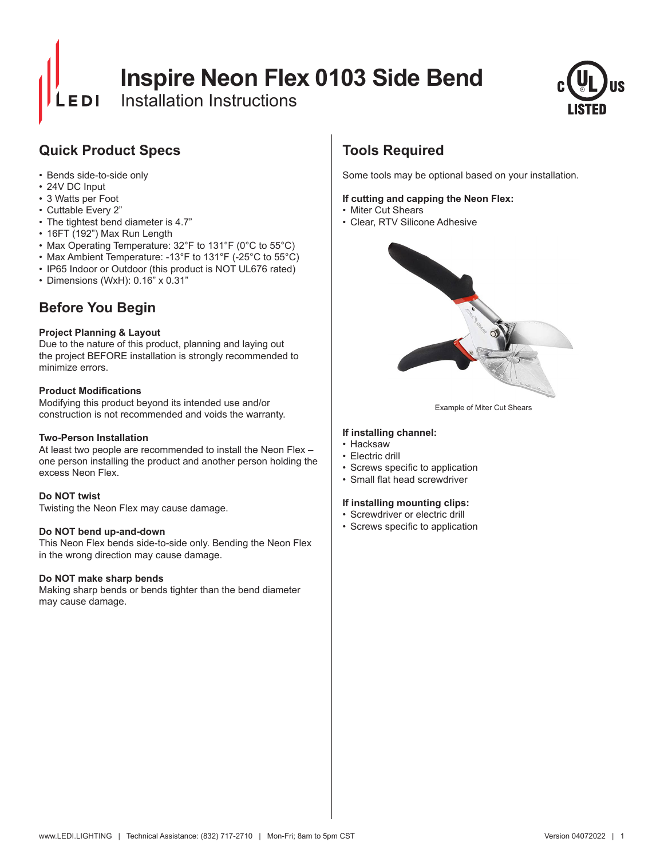# **Inspire Neon Flex 0103 Side Bend**

Installation Instructions



### **Quick Product Specs**

- Bends side-to-side only
- 24V DC Input
- 3 Watts per Foot
- Cuttable Every 2"
- The tightest bend diameter is 4.7"
- 16FT (192") Max Run Length
- Max Operating Temperature: 32°F to 131°F (0°C to 55°C)
- Max Ambient Temperature: -13°F to 131°F (-25°C to 55°C)
- IP65 Indoor or Outdoor (this product is NOT UL676 rated)
- Dimensions (WxH): 0.16" x 0.31"

### **Before You Begin**

#### **Project Planning & Layout**

Due to the nature of this product, planning and laying out the project BEFORE installation is strongly recommended to minimize errors.

#### **Product Modifications**

Modifying this product beyond its intended use and/or construction is not recommended and voids the warranty.

#### **Two-Person Installation**

At least two people are recommended to install the Neon Flex – one person installing the product and another person holding the excess Neon Flex.

#### **Do NOT twist**

Twisting the Neon Flex may cause damage.

#### **Do NOT bend up-and-down**

This Neon Flex bends side-to-side only. Bending the Neon Flex in the wrong direction may cause damage.

#### **Do NOT make sharp bends**

Making sharp bends or bends tighter than the bend diameter may cause damage.

## **Tools Required**

Some tools may be optional based on your installation.

#### **If cutting and capping the Neon Flex:**

- Miter Cut Shears
- Clear, RTV Silicone Adhesive



Example of Miter Cut Shears

#### **If installing channel:**

- Hacksaw
- Electric drill
- • Screws specific to application
- • Small flat head screwdriver

#### **If installing mounting clips:**

- Screwdriver or electric drill
- • Screws specific to application